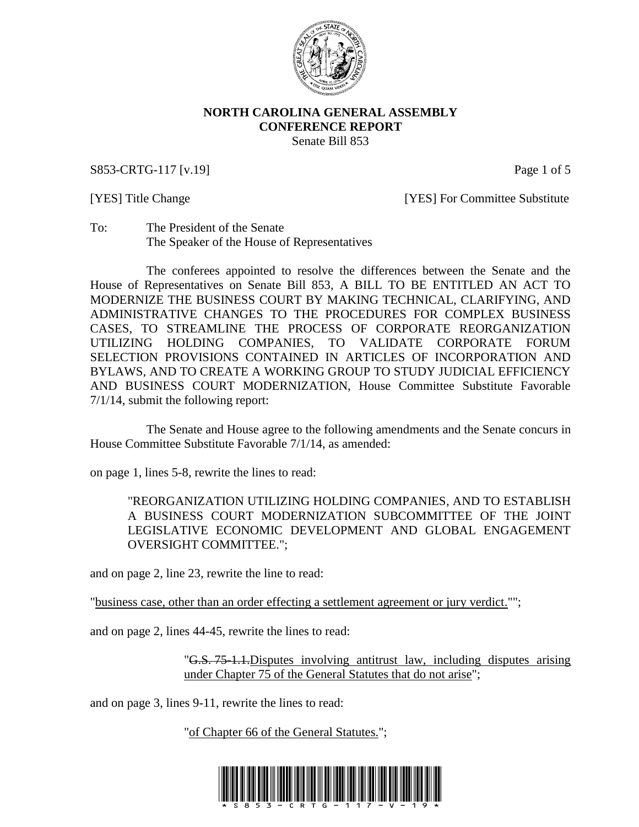

### **NORTH CAROLINA GENERAL ASSEMBLY CONFERENCE REPORT** Senate Bill 853

S853-CRTG-117 [v.19] Page 1 of 5

[YES] Title Change [YES] For Committee Substitute

To: The President of the Senate The Speaker of the House of Representatives

The conferees appointed to resolve the differences between the Senate and the House of Representatives on Senate Bill 853, A BILL TO BE ENTITLED AN ACT TO MODERNIZE THE BUSINESS COURT BY MAKING TECHNICAL, CLARIFYING, AND ADMINISTRATIVE CHANGES TO THE PROCEDURES FOR COMPLEX BUSINESS CASES, TO STREAMLINE THE PROCESS OF CORPORATE REORGANIZATION UTILIZING HOLDING COMPANIES, TO VALIDATE CORPORATE FORUM SELECTION PROVISIONS CONTAINED IN ARTICLES OF INCORPORATION AND BYLAWS, AND TO CREATE A WORKING GROUP TO STUDY JUDICIAL EFFICIENCY AND BUSINESS COURT MODERNIZATION, House Committee Substitute Favorable 7/1/14, submit the following report:

The Senate and House agree to the following amendments and the Senate concurs in House Committee Substitute Favorable 7/1/14, as amended:

on page 1, lines 5-8, rewrite the lines to read:

"REORGANIZATION UTILIZING HOLDING COMPANIES, AND TO ESTABLISH A BUSINESS COURT MODERNIZATION SUBCOMMITTEE OF THE JOINT LEGISLATIVE ECONOMIC DEVELOPMENT AND GLOBAL ENGAGEMENT OVERSIGHT COMMITTEE.";

and on page 2, line 23, rewrite the line to read:

"business case, other than an order effecting a settlement agreement or jury verdict."";

and on page 2, lines 44-45, rewrite the lines to read:

"G.S. 75-1.1.Disputes involving antitrust law, including disputes arising under Chapter 75 of the General Statutes that do not arise";

and on page 3, lines 9-11, rewrite the lines to read:

"of Chapter 66 of the General Statutes.";

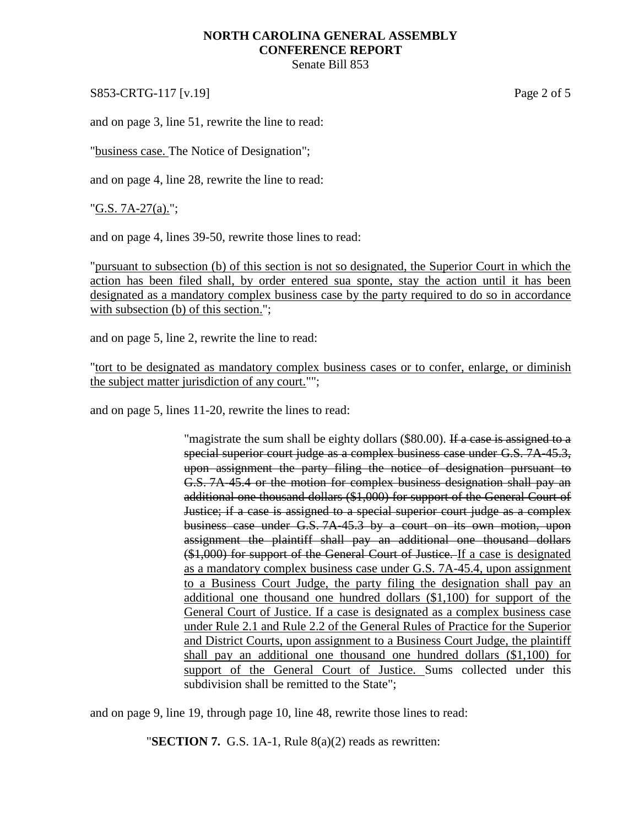## **NORTH CAROLINA GENERAL ASSEMBLY CONFERENCE REPORT**

Senate Bill 853

S853-CRTG-117 [v.19] Page 2 of 5

and on page 3, line 51, rewrite the line to read:

"business case. The Notice of Designation";

and on page 4, line 28, rewrite the line to read:

"G.S. 7A-27(a).";

and on page 4, lines 39-50, rewrite those lines to read:

"pursuant to subsection (b) of this section is not so designated, the Superior Court in which the action has been filed shall, by order entered sua sponte, stay the action until it has been designated as a mandatory complex business case by the party required to do so in accordance with subsection (b) of this section.";

and on page 5, line 2, rewrite the line to read:

"tort to be designated as mandatory complex business cases or to confer, enlarge, or diminish the subject matter jurisdiction of any court."";

and on page 5, lines 11-20, rewrite the lines to read:

"magistrate the sum shall be eighty dollars (\$80.00). If a case is assigned to a special superior court judge as a complex business case under G.S. 7A-45.3, upon assignment the party filing the notice of designation pursuant to G.S. 7A-45.4 or the motion for complex business designation shall pay an additional one thousand dollars (\$1,000) for support of the General Court of Justice; if a case is assigned to a special superior court judge as a complex business case under G.S. 7A-45.3 by a court on its own motion, upon assignment the plaintiff shall pay an additional one thousand dollars (\$1,000) for support of the General Court of Justice. If a case is designated as a mandatory complex business case under G.S. 7A-45.4, upon assignment to a Business Court Judge, the party filing the designation shall pay an additional one thousand one hundred dollars (\$1,100) for support of the General Court of Justice. If a case is designated as a complex business case under Rule 2.1 and Rule 2.2 of the General Rules of Practice for the Superior and District Courts, upon assignment to a Business Court Judge, the plaintiff shall pay an additional one thousand one hundred dollars (\$1,100) for support of the General Court of Justice. Sums collected under this subdivision shall be remitted to the State";

and on page 9, line 19, through page 10, line 48, rewrite those lines to read:

"**SECTION 7.** G.S. 1A-1, Rule 8(a)(2) reads as rewritten: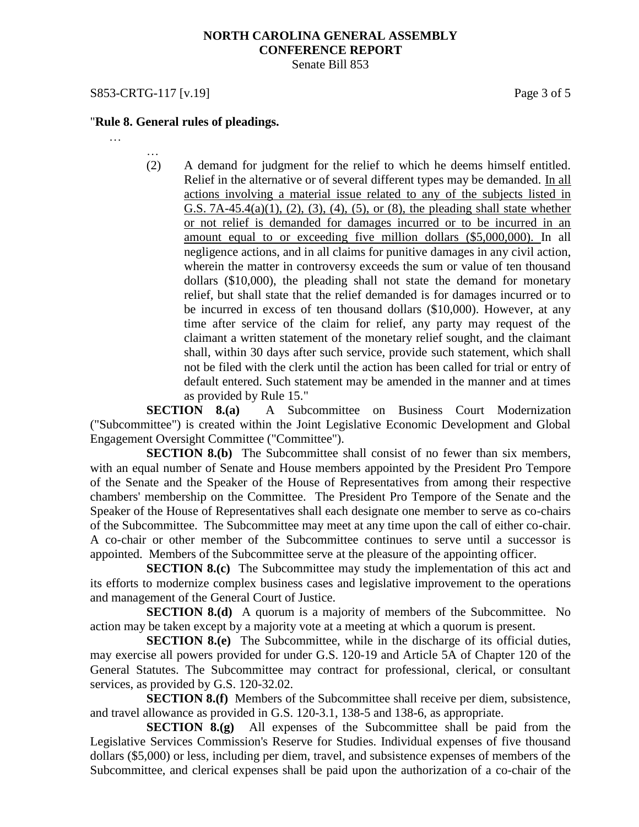### **NORTH CAROLINA GENERAL ASSEMBLY CONFERENCE REPORT** Senate Bill 853

## S853-CRTG-117 [v.19] Page 3 of 5

## "**Rule 8. General rules of pleadings.**

- …
- … (2) A demand for judgment for the relief to which he deems himself entitled. Relief in the alternative or of several different types may be demanded. In all actions involving a material issue related to any of the subjects listed in G.S. 7A-45.4(a)(1), (2), (3), (4), (5), or (8), the pleading shall state whether or not relief is demanded for damages incurred or to be incurred in an amount equal to or exceeding five million dollars (\$5,000,000). In all negligence actions, and in all claims for punitive damages in any civil action, wherein the matter in controversy exceeds the sum or value of ten thousand dollars (\$10,000), the pleading shall not state the demand for monetary relief, but shall state that the relief demanded is for damages incurred or to be incurred in excess of ten thousand dollars (\$10,000). However, at any time after service of the claim for relief, any party may request of the claimant a written statement of the monetary relief sought, and the claimant shall, within 30 days after such service, provide such statement, which shall not be filed with the clerk until the action has been called for trial or entry of default entered. Such statement may be amended in the manner and at times as provided by Rule 15."

**SECTION 8.(a)** A Subcommittee on Business Court Modernization ("Subcommittee") is created within the Joint Legislative Economic Development and Global Engagement Oversight Committee ("Committee").

**SECTION 8.(b)** The Subcommittee shall consist of no fewer than six members, with an equal number of Senate and House members appointed by the President Pro Tempore of the Senate and the Speaker of the House of Representatives from among their respective chambers' membership on the Committee. The President Pro Tempore of the Senate and the Speaker of the House of Representatives shall each designate one member to serve as co-chairs of the Subcommittee. The Subcommittee may meet at any time upon the call of either co-chair. A co-chair or other member of the Subcommittee continues to serve until a successor is appointed. Members of the Subcommittee serve at the pleasure of the appointing officer.

**SECTION 8.(c)** The Subcommittee may study the implementation of this act and its efforts to modernize complex business cases and legislative improvement to the operations and management of the General Court of Justice.

**SECTION 8.(d)** A quorum is a majority of members of the Subcommittee. No action may be taken except by a majority vote at a meeting at which a quorum is present.

**SECTION 8.(e)** The Subcommittee, while in the discharge of its official duties, may exercise all powers provided for under G.S. 120-19 and Article 5A of Chapter 120 of the General Statutes. The Subcommittee may contract for professional, clerical, or consultant services, as provided by G.S. 120-32.02.

**SECTION 8.(f)** Members of the Subcommittee shall receive per diem, subsistence, and travel allowance as provided in G.S. 120-3.1, 138-5 and 138-6, as appropriate.

**SECTION 8.(g)** All expenses of the Subcommittee shall be paid from the Legislative Services Commission's Reserve for Studies. Individual expenses of five thousand dollars (\$5,000) or less, including per diem, travel, and subsistence expenses of members of the Subcommittee, and clerical expenses shall be paid upon the authorization of a co-chair of the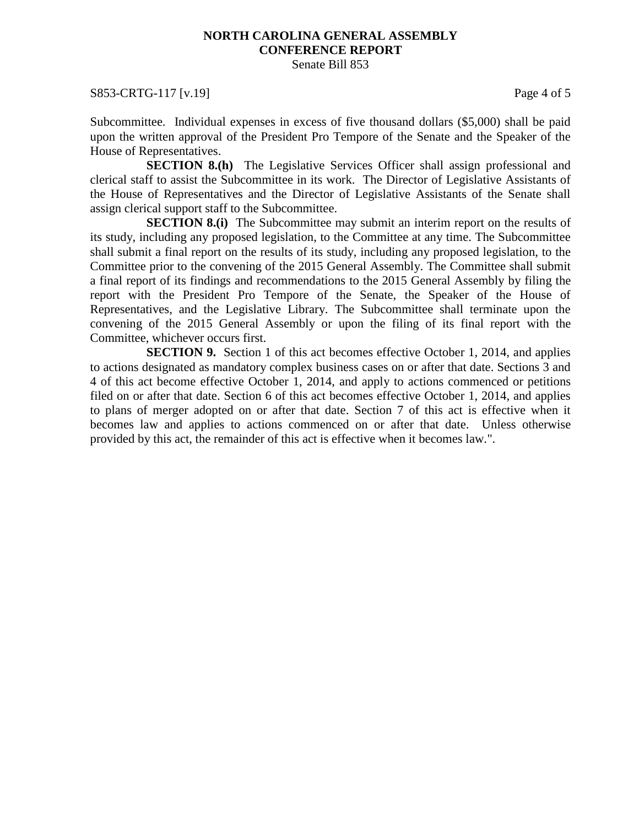# **NORTH CAROLINA GENERAL ASSEMBLY CONFERENCE REPORT**

Senate Bill 853

### S853-CRTG-117 [v.19] Page 4 of 5

Subcommittee. Individual expenses in excess of five thousand dollars (\$5,000) shall be paid upon the written approval of the President Pro Tempore of the Senate and the Speaker of the House of Representatives.

**SECTION 8.(h)** The Legislative Services Officer shall assign professional and clerical staff to assist the Subcommittee in its work. The Director of Legislative Assistants of the House of Representatives and the Director of Legislative Assistants of the Senate shall assign clerical support staff to the Subcommittee.

**SECTION 8.(i)** The Subcommittee may submit an interim report on the results of its study, including any proposed legislation, to the Committee at any time. The Subcommittee shall submit a final report on the results of its study, including any proposed legislation, to the Committee prior to the convening of the 2015 General Assembly. The Committee shall submit a final report of its findings and recommendations to the 2015 General Assembly by filing the report with the President Pro Tempore of the Senate, the Speaker of the House of Representatives, and the Legislative Library. The Subcommittee shall terminate upon the convening of the 2015 General Assembly or upon the filing of its final report with the Committee, whichever occurs first.

**SECTION 9.** Section 1 of this act becomes effective October 1, 2014, and applies to actions designated as mandatory complex business cases on or after that date. Sections 3 and 4 of this act become effective October 1, 2014, and apply to actions commenced or petitions filed on or after that date. Section 6 of this act becomes effective October 1, 2014, and applies to plans of merger adopted on or after that date. Section 7 of this act is effective when it becomes law and applies to actions commenced on or after that date. Unless otherwise provided by this act, the remainder of this act is effective when it becomes law.".